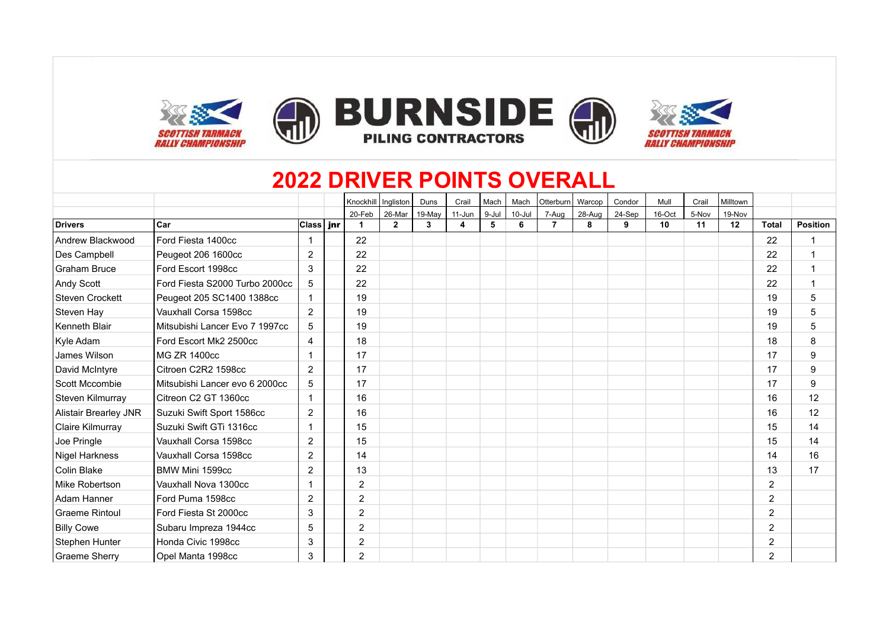

### **2022 DRIVER POINTS OVERALL**

|                              |                                |                | Knockhill Ingliston |                | Duns   | Crail  | Mach  | Mach       | Otterburn | Warcop | Condor | Mull   | Crail | Milltown |                |                 |
|------------------------------|--------------------------------|----------------|---------------------|----------------|--------|--------|-------|------------|-----------|--------|--------|--------|-------|----------|----------------|-----------------|
|                              |                                |                | 20-Feb              | 26-Mar         | 19-May | 11-Jun | 9-Jul | $10 -$ Jul | 7-Aug     | 28-Aug | 24-Sep | 16-Oct | 5-Nov | 19-Nov   |                |                 |
| <b>Drivers</b>               | Car                            | Class   jnr    |                     | $\overline{2}$ | 3      | 4      | 5     | 6          | 7         | 8      | 9      | 10     | 11    | 12       | <b>Total</b>   | <b>Position</b> |
| Andrew Blackwood             | Ford Fiesta 1400cc             |                | 22                  |                |        |        |       |            |           |        |        |        |       |          | 22             | $\mathbf{1}$    |
| Des Campbell                 | Peugeot 206 1600cc             | $\overline{2}$ | 22                  |                |        |        |       |            |           |        |        |        |       |          | 22             | $\mathbf{1}$    |
| <b>Graham Bruce</b>          | Ford Escort 1998cc             | 3              | 22                  |                |        |        |       |            |           |        |        |        |       |          | 22             | $\mathbf{1}$    |
| Andy Scott                   | Ford Fiesta S2000 Turbo 2000cc | 5              | 22                  |                |        |        |       |            |           |        |        |        |       |          | 22             | $\mathbf{1}$    |
| <b>Steven Crockett</b>       | Peugeot 205 SC1400 1388cc      |                | 19                  |                |        |        |       |            |           |        |        |        |       |          | 19             | 5               |
| Steven Hay                   | Vauxhall Corsa 1598cc          | $\overline{2}$ | 19                  |                |        |        |       |            |           |        |        |        |       |          | 19             | 5               |
| Kenneth Blair                | Mitsubishi Lancer Evo 7 1997cc | 5              | 19                  |                |        |        |       |            |           |        |        |        |       |          | 19             | 5               |
| Kyle Adam                    | Ford Escort Mk2 2500cc         | $\overline{4}$ | 18                  |                |        |        |       |            |           |        |        |        |       |          | 18             | 8               |
| James Wilson                 | MG ZR 1400cc                   |                | 17                  |                |        |        |       |            |           |        |        |        |       |          | 17             | 9               |
| David McIntyre               | Citroen C2R2 1598cc            | $\overline{2}$ | 17                  |                |        |        |       |            |           |        |        |        |       |          | 17             | 9               |
| Scott Mccombie               | Mitsubishi Lancer evo 6 2000cc | 5              | 17                  |                |        |        |       |            |           |        |        |        |       |          | 17             | 9               |
| Steven Kilmurray             | Citreon C2 GT 1360cc           |                | 16                  |                |        |        |       |            |           |        |        |        |       |          | 16             | 12              |
| <b>Alistair Brearley JNR</b> | Suzuki Swift Sport 1586cc      | $\overline{2}$ | 16                  |                |        |        |       |            |           |        |        |        |       |          | 16             | 12              |
| Claire Kilmurray             | Suzuki Swift GTi 1316cc        |                | 15                  |                |        |        |       |            |           |        |        |        |       |          | 15             | 14              |
| Joe Pringle                  | Vauxhall Corsa 1598cc          | $\overline{2}$ | 15                  |                |        |        |       |            |           |        |        |        |       |          | 15             | 14              |
| Nigel Harkness               | Vauxhall Corsa 1598cc          | $\overline{2}$ | 14                  |                |        |        |       |            |           |        |        |        |       |          | 14             | 16              |
| Colin Blake                  | BMW Mini 1599cc                | $\overline{2}$ | 13                  |                |        |        |       |            |           |        |        |        |       |          | 13             | 17              |
| Mike Robertson               | Vauxhall Nova 1300cc           |                | $\overline{2}$      |                |        |        |       |            |           |        |        |        |       |          | 2              |                 |
| Adam Hanner                  | Ford Puma 1598cc               | 2              | $\overline{2}$      |                |        |        |       |            |           |        |        |        |       |          | $\overline{2}$ |                 |
| <b>Graeme Rintoul</b>        | Ford Fiesta St 2000cc          | 3              | $\overline{2}$      |                |        |        |       |            |           |        |        |        |       |          | $\overline{2}$ |                 |
| <b>Billy Cowe</b>            | Subaru Impreza 1944cc          | 5              | $\overline{2}$      |                |        |        |       |            |           |        |        |        |       |          | $\overline{c}$ |                 |
| Stephen Hunter               | Honda Civic 1998cc             | 3              | $\overline{2}$      |                |        |        |       |            |           |        |        |        |       |          | $\overline{2}$ |                 |
| Graeme Sherry                | Opel Manta 1998cc              | 3              | $\overline{2}$      |                |        |        |       |            |           |        |        |        |       |          | $\overline{2}$ |                 |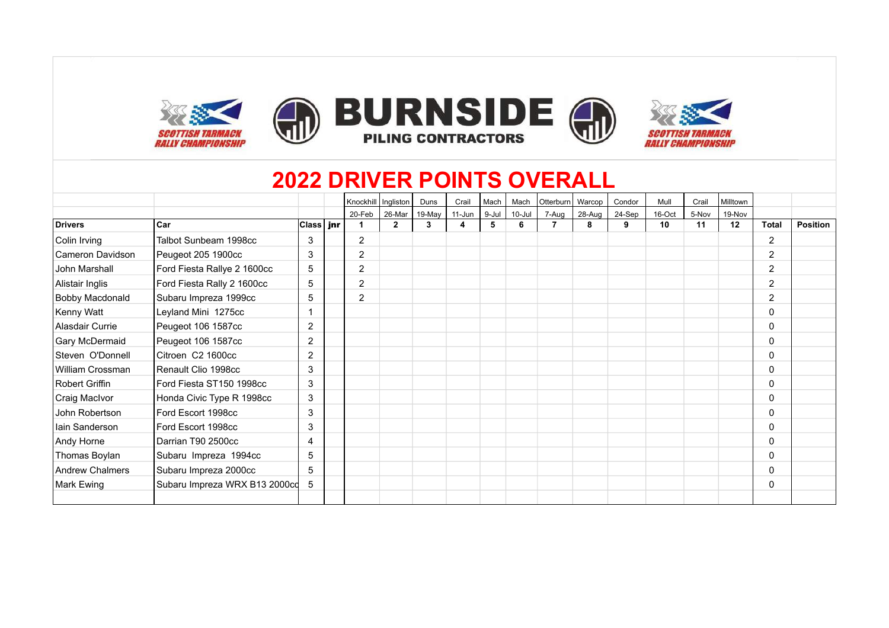

#### **2022 DRIVER POINTS OVERALL**

|                        |                               |                | Knockhill   Ingliston |                | Duns   | Crail      | Mach  | Mach   | Otterburn | Warcop | Condor | Mull   | Crail | Milltown |                |                 |
|------------------------|-------------------------------|----------------|-----------------------|----------------|--------|------------|-------|--------|-----------|--------|--------|--------|-------|----------|----------------|-----------------|
|                        |                               |                | 20-Feb                | 26-Mar         | 19-May | $11 - Jun$ | 9-Jul | 10-Jul | 7-Aug     | 28-Aug | 24-Sep | 16-Oct | 5-Nov | 19-Nov   |                |                 |
| <b>Drivers</b>         | Car                           | Class∣ jnr     |                       | $\overline{2}$ | 3      | 4          | 5     | 6      |           | 8      | 9      | 10     | 11    | 12       | <b>Total</b>   | <b>Position</b> |
| Colin Irving           | Talbot Sunbeam 1998cc         | 3              | $\overline{2}$        |                |        |            |       |        |           |        |        |        |       |          | 2              |                 |
| Cameron Davidson       | Peugeot 205 1900cc            | 3              | $\overline{2}$        |                |        |            |       |        |           |        |        |        |       |          | 2              |                 |
| John Marshall          | Ford Fiesta Rallye 2 1600cc   | 5              | $\overline{2}$        |                |        |            |       |        |           |        |        |        |       |          | $\overline{2}$ |                 |
| Alistair Inglis        | Ford Fiesta Rally 2 1600cc    | 5              | $\overline{2}$        |                |        |            |       |        |           |        |        |        |       |          | 2              |                 |
| <b>Bobby Macdonald</b> | Subaru Impreza 1999cc         | 5              | $\overline{2}$        |                |        |            |       |        |           |        |        |        |       |          | $\overline{2}$ |                 |
| Kenny Watt             | Leyland Mini 1275cc           |                |                       |                |        |            |       |        |           |        |        |        |       |          | 0              |                 |
| Alasdair Currie        | Peugeot 106 1587cc            | 2              |                       |                |        |            |       |        |           |        |        |        |       |          | 0              |                 |
| Gary McDermaid         | Peugeot 106 1587cc            | $\overline{2}$ |                       |                |        |            |       |        |           |        |        |        |       |          | 0              |                 |
| Steven O'Donnell       | Citroen C2 1600cc             | $\overline{2}$ |                       |                |        |            |       |        |           |        |        |        |       |          | $\mathbf{0}$   |                 |
| William Crossman       | Renault Clio 1998cc           | 3              |                       |                |        |            |       |        |           |        |        |        |       |          | $\mathbf{0}$   |                 |
| Robert Griffin         | Ford Fiesta ST150 1998cc      | 3              |                       |                |        |            |       |        |           |        |        |        |       |          | $\mathbf{0}$   |                 |
| Craig MacIvor          | Honda Civic Type R 1998cc     | 3              |                       |                |        |            |       |        |           |        |        |        |       |          | $\Omega$       |                 |
| John Robertson         | Ford Escort 1998cc            | 3              |                       |                |        |            |       |        |           |        |        |        |       |          | $\mathbf{0}$   |                 |
| lain Sanderson         | Ford Escort 1998cc            | 3              |                       |                |        |            |       |        |           |        |        |        |       |          | $\mathbf{0}$   |                 |
| Andy Horne             | Darrian T90 2500cc            | 4              |                       |                |        |            |       |        |           |        |        |        |       |          | 0              |                 |
| Thomas Boylan          | Subaru Impreza 1994cc         | 5              |                       |                |        |            |       |        |           |        |        |        |       |          | $\mathbf{0}$   |                 |
| <b>Andrew Chalmers</b> | Subaru Impreza 2000cc         | 5              |                       |                |        |            |       |        |           |        |        |        |       |          | $\mathbf{0}$   |                 |
| Mark Ewing             | Subaru Impreza WRX B13 2000cd | 5              |                       |                |        |            |       |        |           |        |        |        |       |          | 0              |                 |
|                        |                               |                |                       |                |        |            |       |        |           |        |        |        |       |          |                |                 |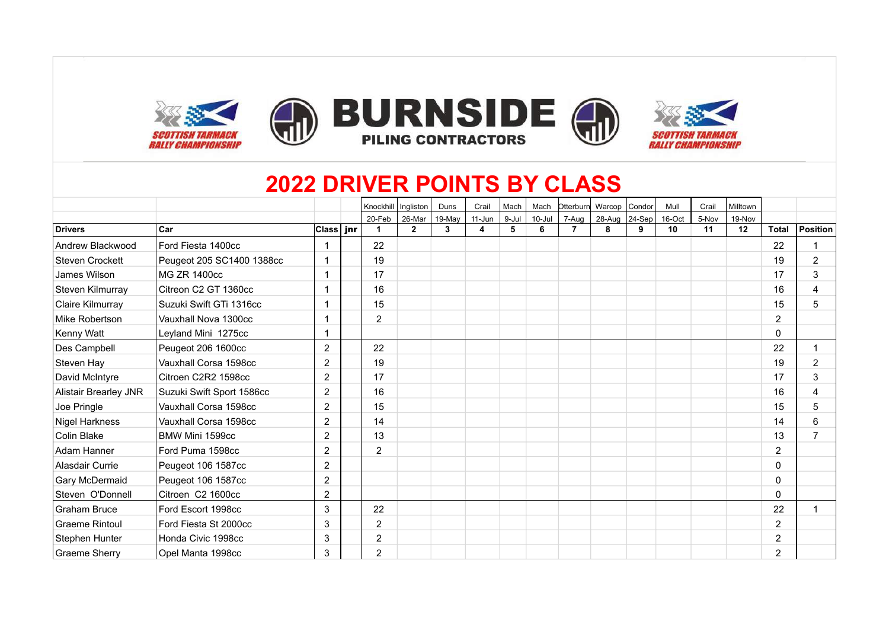

# **2022 DRIVER POINTS BY CLASS**

|                        |                           |                  | Knockhill   Ingliston |              | Duns   | Crail  | Mach  | Mach   | Otterburn      | Warcop Condor |        | Mull   | Crail | Milltown |                |                         |
|------------------------|---------------------------|------------------|-----------------------|--------------|--------|--------|-------|--------|----------------|---------------|--------|--------|-------|----------|----------------|-------------------------|
|                        |                           |                  | 20-Feb                | 26-Mar       | 19-May | 11-Jun | 9-Jul | 10-Jul | 7-Aug          | 28-Aug        | 24-Sep | 16-Oct | 5-Nov | 19-Nov   |                |                         |
| <b>Drivers</b>         | <b>Car</b>                | Class <b>jnr</b> | 1                     | $\mathbf{2}$ | 3      | 4      | 5     | 6      | $\overline{7}$ | 8             | 9      | 10     | 11    | 12       | <b>Total</b>   | Position                |
| Andrew Blackwood       | Ford Fiesta 1400cc        |                  | 22                    |              |        |        |       |        |                |               |        |        |       |          | 22             |                         |
| <b>Steven Crockett</b> | Peugeot 205 SC1400 1388cc | 1                | 19                    |              |        |        |       |        |                |               |        |        |       |          | 19             | 2                       |
| James Wilson           | MG ZR 1400cc              |                  | 17                    |              |        |        |       |        |                |               |        |        |       |          | 17             | 3                       |
| Steven Kilmurray       | Citreon C2 GT 1360cc      |                  | 16                    |              |        |        |       |        |                |               |        |        |       |          | 16             | 4                       |
| Claire Kilmurray       | l Suzuki Swift GTi 1316cc |                  | 15                    |              |        |        |       |        |                |               |        |        |       |          | 15             | 5                       |
| Mike Robertson         | Vauxhall Nova 1300cc      |                  | $\overline{2}$        |              |        |        |       |        |                |               |        |        |       |          | $\overline{2}$ |                         |
| Kenny Watt             | Leyland Mini 1275cc       | 1                |                       |              |        |        |       |        |                |               |        |        |       |          | 0              |                         |
| Des Campbell           | Peugeot 206 1600cc        | 2                | 22                    |              |        |        |       |        |                |               |        |        |       |          | 22             | $\overline{\mathbf{1}}$ |
| Steven Hay             | Vauxhall Corsa 1598cc     | 2                | 19                    |              |        |        |       |        |                |               |        |        |       |          | 19             | 2                       |
| David McIntyre         | Citroen C2R2 1598cc       | 2                | 17                    |              |        |        |       |        |                |               |        |        |       |          | 17             | 3                       |
| Alistair Brearley JNR  | Suzuki Swift Sport 1586cc | $\overline{2}$   | 16                    |              |        |        |       |        |                |               |        |        |       |          | 16             | 4                       |
| Joe Pringle            | Vauxhall Corsa 1598cc     | $\overline{2}$   | 15                    |              |        |        |       |        |                |               |        |        |       |          | 15             | 5                       |
| Nigel Harkness         | Vauxhall Corsa 1598cc     | 2                | 14                    |              |        |        |       |        |                |               |        |        |       |          | 14             | 6                       |
| Colin Blake            | BMW Mini 1599cc           | 2                | 13                    |              |        |        |       |        |                |               |        |        |       |          | 13             | $\overline{7}$          |
| Adam Hanner            | Ford Puma 1598cc          | $\overline{c}$   | $\overline{2}$        |              |        |        |       |        |                |               |        |        |       |          | $\overline{2}$ |                         |
| Alasdair Currie        | Peugeot 106 1587cc        | 2                |                       |              |        |        |       |        |                |               |        |        |       |          | $\mathbf{0}$   |                         |
| Gary McDermaid         | Peugeot 106 1587cc        | $\overline{2}$   |                       |              |        |        |       |        |                |               |        |        |       |          | $\Omega$       |                         |
| Steven O'Donnell       | Citroen C2 1600cc         | $\overline{c}$   |                       |              |        |        |       |        |                |               |        |        |       |          | $\Omega$       |                         |
| <b>Graham Bruce</b>    | Ford Escort 1998cc        | 3                | 22                    |              |        |        |       |        |                |               |        |        |       |          | 22             |                         |
| <b>Graeme Rintoul</b>  | Ford Fiesta St 2000cc     | 3                | $\overline{2}$        |              |        |        |       |        |                |               |        |        |       |          | $\overline{2}$ |                         |
| Stephen Hunter         | Honda Civic 1998cc        | 3                | $\overline{2}$        |              |        |        |       |        |                |               |        |        |       |          | $\overline{2}$ |                         |
| Graeme Sherry          | Opel Manta 1998cc         | 3                | $\overline{2}$        |              |        |        |       |        |                |               |        |        |       |          | 2              |                         |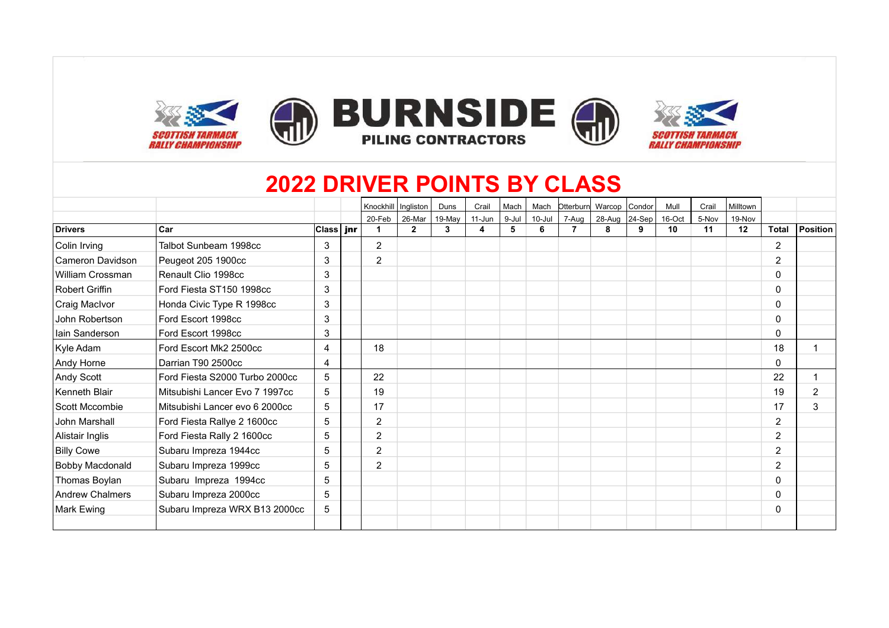

# **2022 DRIVER POINTS BY CLASS**

|                   |                                |              | Knockhill   Ingliston |                | Duns   | Crail  | Mach  | Mach       |       | Otterburn Warcop Condor |   | Mull   | Crail | Milltown |                |                |
|-------------------|--------------------------------|--------------|-----------------------|----------------|--------|--------|-------|------------|-------|-------------------------|---|--------|-------|----------|----------------|----------------|
|                   |                                |              | 20-Feb                | 26-Mar         | 19-May | 11-Jun | 9-Jul | $10 -$ Jul | 7-Aug | 28-Aug 24-Sep           |   | 16-Oct | 5-Nov | 19-Nov   |                |                |
| <b>Drivers</b>    | Car                            | ∣Class   jnr | 1                     | $\overline{2}$ | 3      |        |       | 6          |       | 8                       | 9 | 10     | 11    | 12       | <b>Total</b>   | Position       |
| Colin Irving      | Talbot Sunbeam 1998cc          | 3            | $\overline{2}$        |                |        |        |       |            |       |                         |   |        |       |          | 2              |                |
| Cameron Davidson  | Peugeot 205 1900cc             | 3            | 2                     |                |        |        |       |            |       |                         |   |        |       |          | 2              |                |
| William Crossman  | Renault Clio 1998cc            | 3            |                       |                |        |        |       |            |       |                         |   |        |       |          | 0              |                |
| Robert Griffin    | Ford Fiesta ST150 1998cc       | 3            |                       |                |        |        |       |            |       |                         |   |        |       |          | 0              |                |
| Craig MacIvor     | Honda Civic Type R 1998cc      | 3            |                       |                |        |        |       |            |       |                         |   |        |       |          | 0              |                |
| John Robertson    | Ford Escort 1998cc             | 3            |                       |                |        |        |       |            |       |                         |   |        |       |          | 0              |                |
| Iain Sanderson    | Ford Escort 1998cc             | 3            |                       |                |        |        |       |            |       |                         |   |        |       |          | 0              |                |
| Kyle Adam         | Ford Escort Mk2 2500cc         | 4            | 18                    |                |        |        |       |            |       |                         |   |        |       |          | 18             |                |
| Andy Horne        | Darrian T90 2500cc             | 4            |                       |                |        |        |       |            |       |                         |   |        |       |          | 0              |                |
| Andy Scott        | Ford Fiesta S2000 Turbo 2000cc | 5            | 22                    |                |        |        |       |            |       |                         |   |        |       |          | 22             |                |
| Kenneth Blair     | Mitsubishi Lancer Evo 7 1997cc | 5            | 19                    |                |        |        |       |            |       |                         |   |        |       |          | 19             | $\overline{2}$ |
| Scott Mccombie    | Mitsubishi Lancer evo 6 2000cc | 5            | 17                    |                |        |        |       |            |       |                         |   |        |       |          | 17             | 3              |
| John Marshall     | Ford Fiesta Rallye 2 1600cc    | 5            | $\overline{2}$        |                |        |        |       |            |       |                         |   |        |       |          | 2              |                |
| Alistair Inglis   | Ford Fiesta Rally 2 1600cc     | 5            | $\overline{2}$        |                |        |        |       |            |       |                         |   |        |       |          | $\overline{2}$ |                |
| <b>Billy Cowe</b> | Subaru Impreza 1944cc          | 5            | $\overline{2}$        |                |        |        |       |            |       |                         |   |        |       |          | 2              |                |
| Bobby Macdonald   | Subaru Impreza 1999cc          | 5            | $\overline{2}$        |                |        |        |       |            |       |                         |   |        |       |          | 2              |                |
| Thomas Boylan     | Subaru Impreza 1994cc          | 5            |                       |                |        |        |       |            |       |                         |   |        |       |          | 0              |                |
| Andrew Chalmers   | Subaru Impreza 2000cc          | 5            |                       |                |        |        |       |            |       |                         |   |        |       |          | 0              |                |
| Mark Ewing        | Subaru Impreza WRX B13 2000cc  | 5            |                       |                |        |        |       |            |       |                         |   |        |       |          | 0              |                |
|                   |                                |              |                       |                |        |        |       |            |       |                         |   |        |       |          |                |                |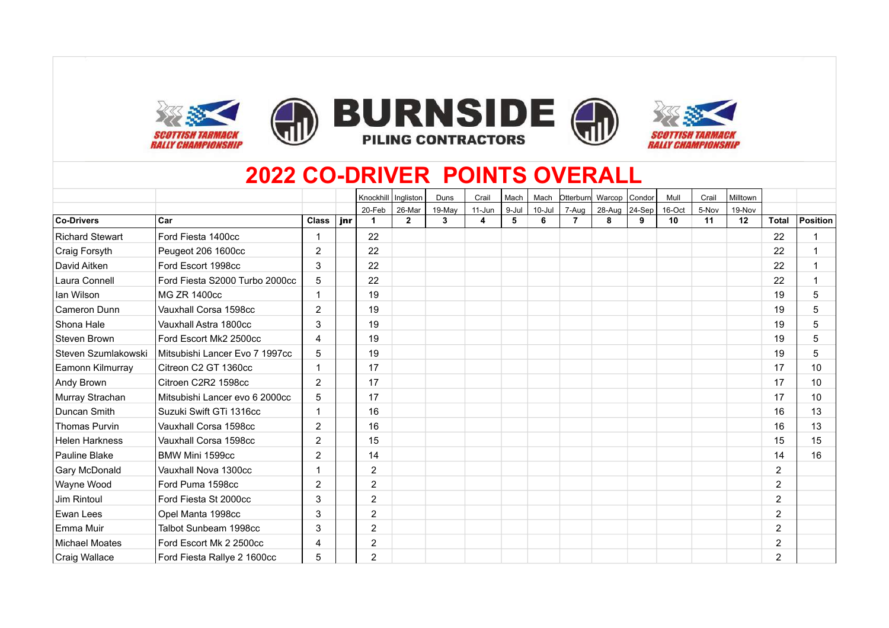







### **2022 CO-DRIVER POINTS OVERALL**

|                       |                                |                |     | Knockhill   Ingliston |              | Duns   | Crail  | Mach  | Mach       | Otterburn      | Warcop Condor |            | Mull   | Crail | Milltown |                |                 |
|-----------------------|--------------------------------|----------------|-----|-----------------------|--------------|--------|--------|-------|------------|----------------|---------------|------------|--------|-------|----------|----------------|-----------------|
|                       |                                |                |     | 20-Feb                | 26-Mar       | 19-May | 11-Jun | 9-Jul | $10 -$ Jul | 7-Aug          | 28-Aug        | $ 24-Sep $ | 16-Oct | 5-Nov | 19-Nov   |                |                 |
| Co-Drivers            | Car                            | <b>Class</b>   | jnr |                       | $\mathbf{2}$ | 3      | 4      | 5     | 6          | $\overline{7}$ | 8             | 9          | 10     | 11    | 12       | <b>Total</b>   | <b>Position</b> |
| Richard Stewart       | Ford Fiesta 1400cc             |                |     | 22                    |              |        |        |       |            |                |               |            |        |       |          | 22             | -1              |
| Craig Forsyth         | Peugeot 206 1600cc             | $\overline{2}$ |     | 22                    |              |        |        |       |            |                |               |            |        |       |          | 22             |                 |
| David Aitken          | Ford Escort 1998cc             | 3              |     | 22                    |              |        |        |       |            |                |               |            |        |       |          | 22             |                 |
| Laura Connell         | Ford Fiesta S2000 Turbo 2000cc | 5              |     | 22                    |              |        |        |       |            |                |               |            |        |       |          | 22             |                 |
| lan Wilson            | <b>MG ZR 1400cc</b>            |                |     | 19                    |              |        |        |       |            |                |               |            |        |       |          | 19             | 5               |
| Cameron Dunn          | Vauxhall Corsa 1598cc          | $\overline{2}$ |     | 19                    |              |        |        |       |            |                |               |            |        |       |          | 19             | 5               |
| Shona Hale            | Vauxhall Astra 1800cc          | 3              |     | 19                    |              |        |        |       |            |                |               |            |        |       |          | 19             | 5               |
| Steven Brown          | Ford Escort Mk2 2500cc         | 4              |     | 19                    |              |        |        |       |            |                |               |            |        |       |          | 19             | 5               |
| Steven Szumlakowski   | Mitsubishi Lancer Evo 7 1997cc | 5              |     | 19                    |              |        |        |       |            |                |               |            |        |       |          | 19             | 5               |
| Eamonn Kilmurray      | Citreon C2 GT 1360cc           |                |     | 17                    |              |        |        |       |            |                |               |            |        |       |          | 17             | 10              |
| Andy Brown            | Citroen C2R2 1598cc            | $\overline{2}$ |     | 17                    |              |        |        |       |            |                |               |            |        |       |          | 17             | 10              |
| Murray Strachan       | Mitsubishi Lancer evo 6 2000cc | 5              |     | 17                    |              |        |        |       |            |                |               |            |        |       |          | 17             | 10              |
| Duncan Smith          | Suzuki Swift GTi 1316cc        |                |     | 16                    |              |        |        |       |            |                |               |            |        |       |          | 16             | 13              |
| <b>Thomas Purvin</b>  | Vauxhall Corsa 1598cc          | $\overline{2}$ |     | 16                    |              |        |        |       |            |                |               |            |        |       |          | 16             | 13              |
| <b>Helen Harkness</b> | Vauxhall Corsa 1598cc          | $\overline{2}$ |     | 15                    |              |        |        |       |            |                |               |            |        |       |          | 15             | 15              |
| Pauline Blake         | BMW Mini 1599cc                | $\overline{2}$ |     | 14                    |              |        |        |       |            |                |               |            |        |       |          | 14             | 16              |
| Gary McDonald         | Vauxhall Nova 1300cc           |                |     | $\overline{2}$        |              |        |        |       |            |                |               |            |        |       |          | $\overline{2}$ |                 |
| Wayne Wood            | Ford Puma 1598cc               | 2              |     | 2                     |              |        |        |       |            |                |               |            |        |       |          | 2              |                 |
| Jim Rintoul           | Ford Fiesta St 2000cc          | 3              |     | $\overline{2}$        |              |        |        |       |            |                |               |            |        |       |          | $\overline{2}$ |                 |
| Ewan Lees             | Opel Manta 1998cc              | 3              |     | $\overline{2}$        |              |        |        |       |            |                |               |            |        |       |          | $\overline{2}$ |                 |
| Emma Muir             | Talbot Sunbeam 1998cc          | 3              |     | $\overline{2}$        |              |        |        |       |            |                |               |            |        |       |          | $\overline{2}$ |                 |
| Michael Moates        | Ford Escort Mk 2 2500cc        | 4              |     | $\overline{2}$        |              |        |        |       |            |                |               |            |        |       |          | $\overline{2}$ |                 |
| Craig Wallace         | Ford Fiesta Rallye 2 1600cc    | 5              |     | $\overline{2}$        |              |        |        |       |            |                |               |            |        |       |          | $\overline{2}$ |                 |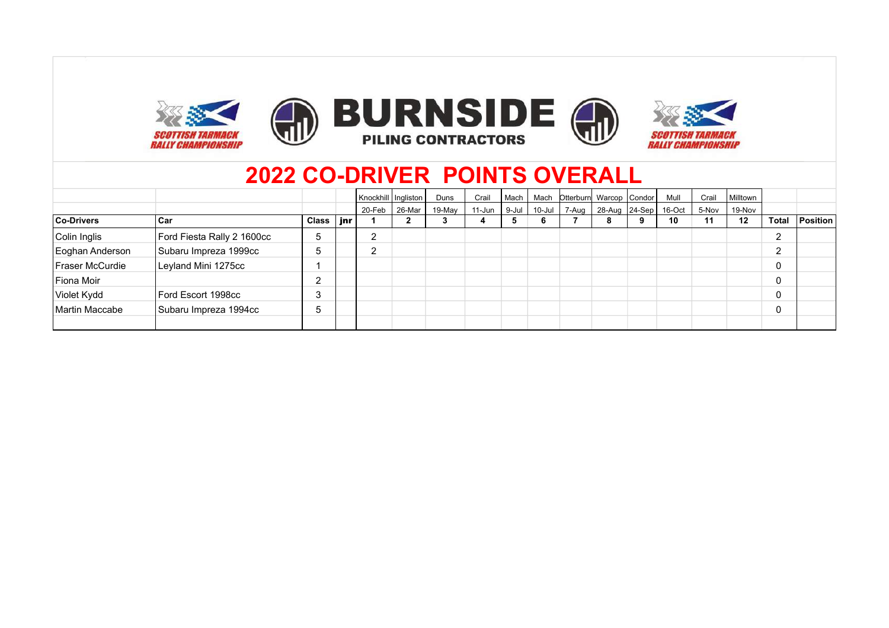

|                   |                            |       |     |        | Knockhill   Ingliston | Duns   | Crail  | Mach  | Mach   | Otterburn Warcop Condor          | Mull | Crail | Milltown |       |          |
|-------------------|----------------------------|-------|-----|--------|-----------------------|--------|--------|-------|--------|----------------------------------|------|-------|----------|-------|----------|
|                   |                            |       |     | 20-Feb | 26-Mar                | 19-May | 11-Jun | 9-Jul | 10-Jul | 7-Aug   28-Aug   24-Sep   16-Oct |      | 5-Nov | 19-Nov   |       |          |
| <b>Co-Drivers</b> | l Car                      | Class | jnr |        |                       |        |        | Ð.    | b      |                                  | 10   | 11    | $12 \,$  | Total | Position |
| Colin Inglis      | Ford Fiesta Rally 2 1600cc | 5     |     | റ<br>∠ |                       |        |        |       |        |                                  |      |       |          | ົ     |          |
| Eoghan Anderson   | Subaru Impreza 1999cc      | 5     |     | റ      |                       |        |        |       |        |                                  |      |       |          | ົ     |          |
| Fraser McCurdie   | Leyland Mini 1275cc        |       |     |        |                       |        |        |       |        |                                  |      |       |          | 0     |          |
| Fiona Moir        |                            | ີ     |     |        |                       |        |        |       |        |                                  |      |       |          | 0     |          |
| Violet Kydd       | Ford Escort 1998cc         | 3     |     |        |                       |        |        |       |        |                                  |      |       |          | 0     |          |
| Martin Maccabe    | Subaru Impreza 1994cc      | 5     |     |        |                       |        |        |       |        |                                  |      |       |          | 0     |          |
|                   |                            |       |     |        |                       |        |        |       |        |                                  |      |       |          |       |          |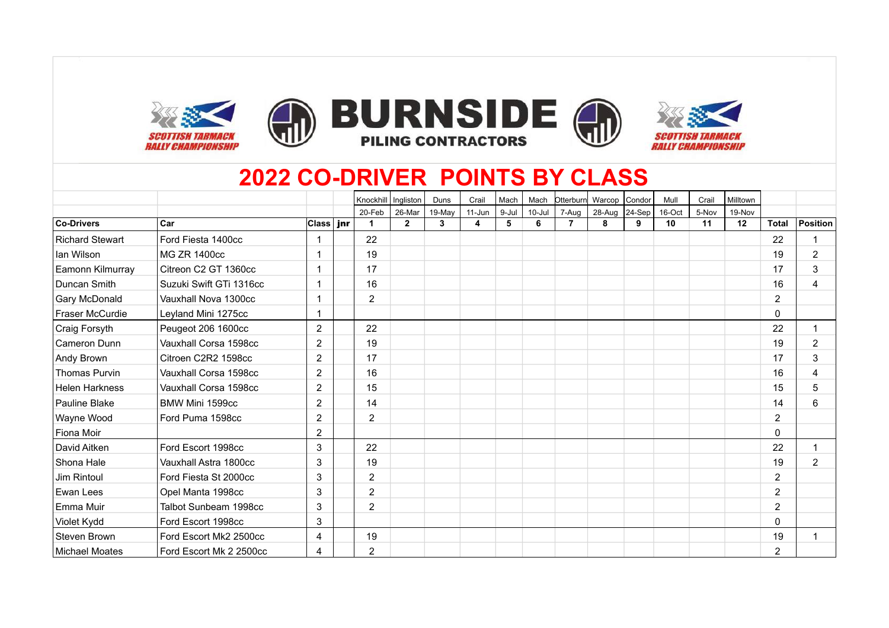









# **2022 CO-DRIVER POINTS BY CLASS**

|                        |                         |                | Knockhill      | Ingliston      | Duns   | Crail     | Mach  | Mach       | Otterburn | Warcop Condor |   | Mull   | Crail | Milltown |                |                |
|------------------------|-------------------------|----------------|----------------|----------------|--------|-----------|-------|------------|-----------|---------------|---|--------|-------|----------|----------------|----------------|
|                        |                         |                | 20-Feb         | 26-Mar         | 19-May | $11-J$ un | 9-Jul | $10 -$ Jul | 7-Aug     | 28-Aug 24-Sep |   | 16-Oct | 5-Nov | 19-Nov   |                |                |
| <b>Co-Drivers</b>      | Car                     | ∣Class ∣ jnr   |                | $\overline{2}$ | 3      | 4         | 5     | 6          | 7         | 8             | 9 | 10     | 11    | 12       | <b>Total</b>   | Position       |
| <b>Richard Stewart</b> | Ford Fiesta 1400cc      |                | 22             |                |        |           |       |            |           |               |   |        |       |          | 22             | -1             |
| lan Wilson             | <b>MG ZR 1400cc</b>     |                | 19             |                |        |           |       |            |           |               |   |        |       |          | 19             | $\overline{2}$ |
| Eamonn Kilmurray       | Citreon C2 GT 1360cc    |                | 17             |                |        |           |       |            |           |               |   |        |       |          | 17             | 3              |
| Duncan Smith           | Suzuki Swift GTi 1316cc |                | 16             |                |        |           |       |            |           |               |   |        |       |          | 16             | 4              |
| Gary McDonald          | Vauxhall Nova 1300cc    |                | $\overline{2}$ |                |        |           |       |            |           |               |   |        |       |          | $\overline{2}$ |                |
| Fraser McCurdie        | Leyland Mini 1275cc     |                |                |                |        |           |       |            |           |               |   |        |       |          | 0              |                |
| Craig Forsyth          | Peugeot 206 1600cc      | 2              | 22             |                |        |           |       |            |           |               |   |        |       |          | 22             | $\overline{1}$ |
| Cameron Dunn           | Vauxhall Corsa 1598cc   | $\overline{2}$ | 19             |                |        |           |       |            |           |               |   |        |       |          | 19             | $\overline{c}$ |
| Andy Brown             | Citroen C2R2 1598cc     | $\overline{2}$ | 17             |                |        |           |       |            |           |               |   |        |       |          | 17             | 3              |
| Thomas Purvin          | Vauxhall Corsa 1598cc   | $\overline{2}$ | 16             |                |        |           |       |            |           |               |   |        |       |          | 16             | 4              |
| <b>Helen Harkness</b>  | Vauxhall Corsa 1598cc   | $\overline{2}$ | 15             |                |        |           |       |            |           |               |   |        |       |          | 15             | 5              |
| Pauline Blake          | BMW Mini 1599cc         | $\overline{2}$ | 14             |                |        |           |       |            |           |               |   |        |       |          | 14             | 6              |
| Wayne Wood             | Ford Puma 1598cc        | $\overline{2}$ | $\overline{2}$ |                |        |           |       |            |           |               |   |        |       |          | 2              |                |
| Fiona Moir             |                         | $\overline{2}$ |                |                |        |           |       |            |           |               |   |        |       |          | 0              |                |
| David Aitken           | Ford Escort 1998cc      | 3              | 22             |                |        |           |       |            |           |               |   |        |       |          | 22             | 1              |
| Shona Hale             | Vauxhall Astra 1800cc   | 3              | 19             |                |        |           |       |            |           |               |   |        |       |          | 19             | $\overline{2}$ |
| Jim Rintoul            | Ford Fiesta St 2000cc   | 3              | $\overline{2}$ |                |        |           |       |            |           |               |   |        |       |          | $\overline{2}$ |                |
| Ewan Lees              | Opel Manta 1998cc       | 3              | $\overline{2}$ |                |        |           |       |            |           |               |   |        |       |          | 2              |                |
| Emma Muir              | Talbot Sunbeam 1998cc   | 3              | $\overline{2}$ |                |        |           |       |            |           |               |   |        |       |          | 2              |                |
| Violet Kydd            | Ford Escort 1998cc      | 3              |                |                |        |           |       |            |           |               |   |        |       |          | 0              |                |
| <b>Steven Brown</b>    | Ford Escort Mk2 2500cc  | $\overline{4}$ | 19             |                |        |           |       |            |           |               |   |        |       |          | 19             | -1             |
| <b>Michael Moates</b>  | Ford Escort Mk 2 2500cc | 4              | $\overline{2}$ |                |        |           |       |            |           |               |   |        |       |          | 2              |                |